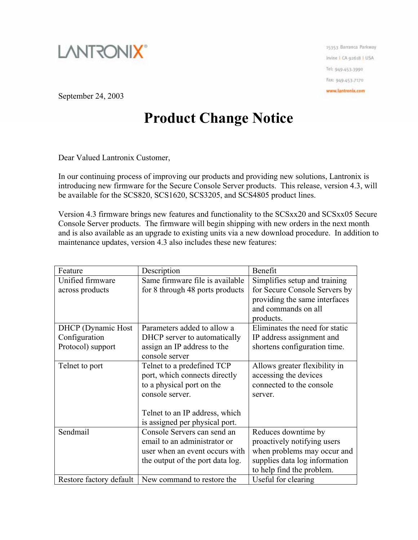

15353 Barranca Parloway Irvine I CA 92618 | USA Tel: 949-453-3990 Fax: 949-453-7170 www.lantronix.com

September 24, 2003

## **Product Change Notice**

Dear Valued Lantronix Customer,

In our continuing process of improving our products and providing new solutions, Lantronix is introducing new firmware for the Secure Console Server products. This release, version 4.3, will be available for the SCS820, SCS1620, SCS3205, and SCS4805 product lines.

Version 4.3 firmware brings new features and functionality to the SCSxx20 and SCSxx05 Secure Console Server products. The firmware will begin shipping with new orders in the next month and is also available as an upgrade to existing units via a new download procedure. In addition to maintenance updates, version 4.3 also includes these new features:

| Feature                    | Description                      | Benefit                        |
|----------------------------|----------------------------------|--------------------------------|
| Unified firmware           | Same firmware file is available  | Simplifies setup and training  |
| across products            | for 8 through 48 ports products  | for Secure Console Servers by  |
|                            |                                  | providing the same interfaces  |
|                            |                                  | and commands on all            |
|                            |                                  | products.                      |
| <b>DHCP</b> (Dynamic Host) | Parameters added to allow a      | Eliminates the need for static |
| Configuration              | DHCP server to automatically     | IP address assignment and      |
| Protocol) support          | assign an IP address to the      | shortens configuration time.   |
|                            | console server                   |                                |
| Telnet to port             | Telnet to a predefined TCP       | Allows greater flexibility in  |
|                            | port, which connects directly    | accessing the devices          |
|                            | to a physical port on the        | connected to the console       |
|                            | console server.                  | server.                        |
|                            |                                  |                                |
|                            | Telnet to an IP address, which   |                                |
|                            | is assigned per physical port.   |                                |
| Sendmail                   | Console Servers can send an      | Reduces downtime by            |
|                            | email to an administrator or     | proactively notifying users    |
|                            | user when an event occurs with   | when problems may occur and    |
|                            | the output of the port data log. | supplies data log information  |
|                            |                                  | to help find the problem.      |
| Restore factory default    | New command to restore the       | Useful for clearing            |